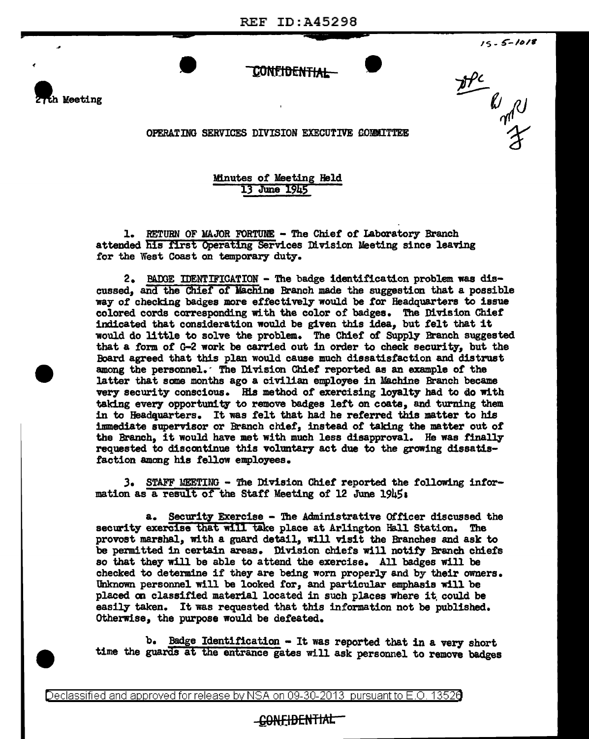.. IS - *5-lol*<sup>t</sup>

## CONFI<del>DENTIAL</del>



Ale Ryald

OPERATING SERVICES DIVISION EXECUTIVE COMMITTEE

Minutes of Meeting Held 13 June 1945

l. RETURN OF MAJOR FORTUNE - The Chief of Laboratory Branch attended his first Operating Services Division Meeting since leaving for the West Coast on temporary duty.

2. BAOOE IDENTIFICATION - The badge identification problem was discussed, and the Chief of Machine Branch made the suggestion that a possible way of checking badges more effectively would be for Headquarters to issue colored cords corresponding with the color of badges. The Division Chief' indicated that consideration would be given this idea, but felt that it would do little to solve the problem. The Chief' *ot* Supply Branch suggested that a form of G-2 work be carried out in order to check security, but the Board agreed that this plan would cause much dissatisfaction and distrust among the personnel.· The Division Chief reported as an example *ot* the latter that some months ago a civilian employee in Machine Branch became very security conscious. His method of exercising loyalty had to do with taking every opportunity to remove badges lett on coats, and turning them in to Headquarters. It was felt that had he referred this matter to his immediate supervisor or Branch chief, instead of taking the matter out of the Branch, it would have met with much less disapproval. He was finally requested to discontinue this voluntary act due to the growing dissatisfaction among his fellow employees.

). STAFF MEETING - The Division Chief reported the following information as a result of the Staff Meeting of 12 June 1945:

a. Security Exercise - The Administrative Of ticer discussed the security exercise that will take place at Arlington Hall Station. The provost marshal, with a guard detail, will visit the Branches and ask to be permitted in certain areas. Division chiefs will notify Branch chiefs so that they will be able to attend the exercise. All badges will be checked to determine if they are being worn properly and by their owners. Unknown personnel will be looked for, and particular emphasis will be placed on classified material located in such places where it could be easily taken. It was requested that this information not be published. Otherwise, the purpose would be defeated.

b. Badge Identification - It was reported that in a very short time the guards at the entrance gates will ask personnel to remove badges

Declassified and approved for release by NSA on 09-30-2013 pursuantto E .0. 1352a

## -CONEIDENTIAL